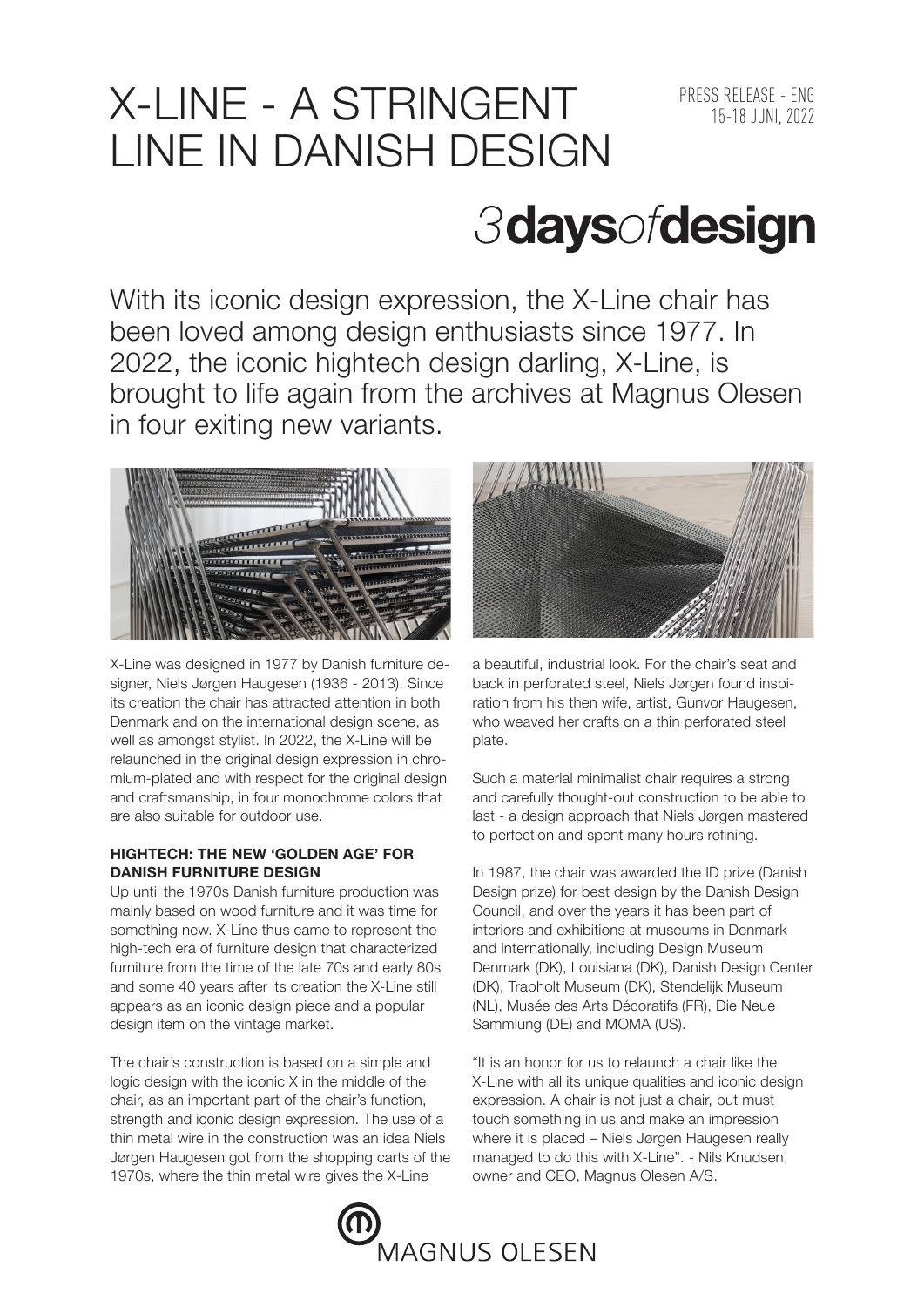## X-LINE - A STRINGENT PRESS RELEASE - ENG LINE IN DANISH DESIGN

# *3daysofdesign*

With its iconic design expression, the X-Line chair has been loved among design enthusiasts since 1977. In 2022, the iconic hightech design darling, X-Line, is brought to life again from the archives at Magnus Olesen in four exiting new variants.



X-Line was designed in 1977 by Danish furniture designer, Niels Jørgen Haugesen (1936 - 2013). Since its creation the chair has attracted attention in both Denmark and on the international design scene, as well as amongst stylist. In 2022, the X-Line will be relaunched in the original design expression in chromium-plated and with respect for the original design and craftsmanship, in four monochrome colors that are also suitable for outdoor use.

### **HIGHTECH: THE NEW 'GOLDEN AGE' FOR DANISH FURNITURE DESIGN**

Up until the 1970s Danish furniture production was mainly based on wood furniture and it was time for something new. X-Line thus came to represent the high-tech era of furniture design that characterized furniture from the time of the late 70s and early 80s and some 40 years after its creation the X-Line still appears as an iconic design piece and a popular design item on the vintage market.

The chair's construction is based on a simple and logic design with the iconic X in the middle of the chair, as an important part of the chair's function, strength and iconic design expression. The use of a thin metal wire in the construction was an idea Niels Jørgen Haugesen got from the shopping carts of the 1970s, where the thin metal wire gives the X-Line



a beautiful, industrial look. For the chair's seat and back in perforated steel, Niels Jørgen found inspiration from his then wife, artist, Gunvor Haugesen, who weaved her crafts on a thin perforated steel plate.

Such a material minimalist chair requires a strong and carefully thought-out construction to be able to last - a design approach that Niels Jørgen mastered to perfection and spent many hours refining.

In 1987, the chair was awarded the ID prize (Danish Design prize) for best design by the Danish Design Council, and over the years it has been part of interiors and exhibitions at museums in Denmark and internationally, including Design Museum Denmark (DK), Louisiana (DK), Danish Design Center (DK), Trapholt Museum (DK), Stendelijk Museum (NL), Musée des Arts Décoratifs (FR), Die Neue Sammlung (DE) and MOMA (US).

"It is an honor for us to relaunch a chair like the X-Line with all its unique qualities and iconic design expression. A chair is not just a chair, but must touch something in us and make an impression where it is placed – Niels Jørgen Haugesen really managed to do this with X-Line". - Nils Knudsen, owner and CEO, Magnus Olesen A/S.